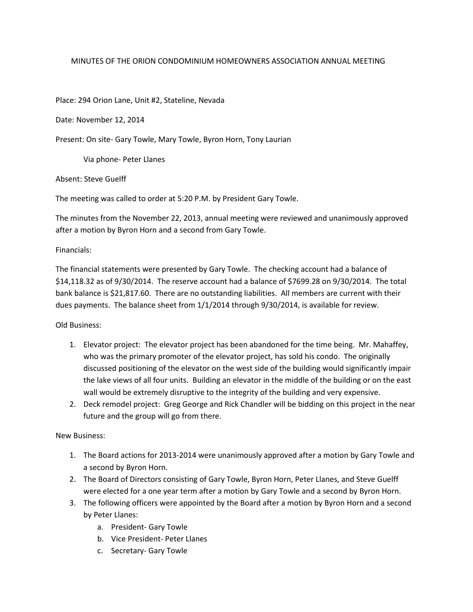## MINUTES OF THE ORION CONDOMINIUM HOMEOWNERS ASSOCIATION ANNUAL MEETING

Place: 294 Orion Lane, Unit #2, Stateline, Nevada

Date: November 12, 2014

Present: On site- Gary Towle, Mary Towle, Byron Horn, Tony Laurian

Via phone- Peter Llanes

Absent: Steve Guelff

The meeting was called to order at 5:20 P.M. by President Gary Towle.

The minutes from the November 22, 2013, annual meeting were reviewed and unanimously approved after a motion by Byron Horn and a second from Gary Towle.

Financials:

The financial statements were presented by Gary Towle. The checking account had a balance of \$14,118.32 as of 9/30/2014. The reserve account had a balance of \$7699.28 on 9/30/2014. The total bank balance is \$21,817.60. There are no outstanding liabilities. All members are current with their dues payments. The balance sheet from 1/1/2014 through 9/30/2014, is available for review.

Old Business:

- 1. Elevator project: The elevator project has been abandoned for the time being. Mr. Mahaffey, who was the primary promoter of the elevator project, has sold his condo. The originally discussed positioning of the elevator on the west side of the building would significantly impair the lake views of all four units. Building an elevator in the middle of the building or on the east wall would be extremely disruptive to the integrity of the building and very expensive.
- 2. Deck remodel project: Greg George and Rick Chandler will be bidding on this project in the near future and the group will go from there.

New Business:

- 1. The Board actions for 2013-2014 were unanimously approved after a motion by Gary Towle and a second by Byron Horn.
- 2. The Board of Directors consisting of Gary Towle, Byron Horn, Peter Llanes, and Steve Guelff were elected for a one year term after a motion by Gary Towle and a second by Byron Horn.
- 3. The following officers were appointed by the Board after a motion by Byron Horn and a second by Peter Llanes:
	- a. President- Gary Towle
	- b. Vice President- Peter Llanes
	- c. Secretary- Gary Towle